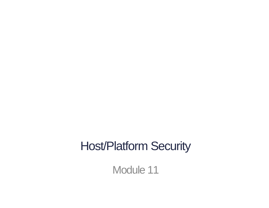#### Host/Platform Security

Module 11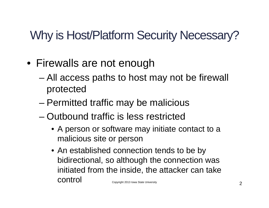## Why is Host/Platform Security Necessary?

- Firewalls are not enough
	- All access paths to host may not be firewall protected
	- Permitted traffic may be malicious
	- Outbound traffic is less restricted
		- A person or software may initiate contact to a malicious site or person
		- An established connection tends to be by bidirectional, so although the connection was initiated from the inside, the attacker can take CONTION Copyright 2013 Iowa State University 2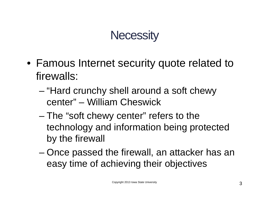### **Necessity**

- Famous Internet security quote related to firewalls:
	- "Hard crunchy shell around a soft chewy center" – William Cheswick
	- The "soft chewy center" refers to the technology and information being protected by the firewall
	- Once passed the firewall, an attacker has an easy time of achieving their objectives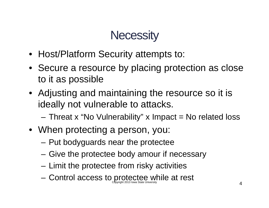### **Necessity**

- Host/Platform Security attempts to:
- Secure a resource by placing protection as close to it as possible
- Adjusting and maintaining the resource so it is ideally not vulnerable to attacks.
	- $-$  Threat x "No Vulnerability" x Impact = No related loss
- When protecting a person, you:
	- Put bodyguards near the protectee
	- Give the protectee body amour if necessary
	- Limit the protectee from risky activities
	- Control access to protectee while at rest Copyright 2013 Iowa State University  $4$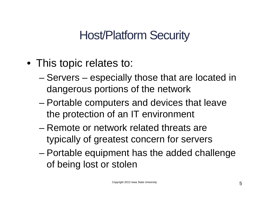### Host/Platform Security

- This topic relates to:
	- Servers especially those that are located in dangerous portions of the network
	- Portable computers and devices that leave the protection of an IT environment
	- Remote or network related threats are typically of greatest concern for servers
	- Portable equipment has the added challenge of being lost or stolen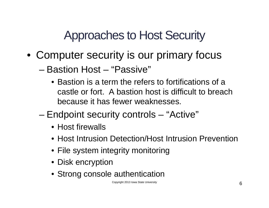Approaches to Host Security

- Computer security is our primary focus
	- Bastion Host "Passive"
		- Bastion is a term the refers to fortifications of a castle or fort. A bastion host is difficult to breach because it has fewer weaknesses.
	- Endpoint security controls "Active"
		- Host firewalls
		- Host Intrusion Detection/Host Intrusion Prevention
		- File system integrity monitoring
		- Disk encryption
		- Strong console authentication

Copyright 2013 Iowa State University 6 and 2013 Iowa State University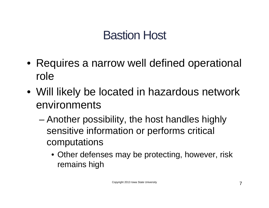### Bastion Host

- Requires a narrow well defined operational role
- Will likely be located in hazardous network environments
	- Another possibility, the host handles highly sensitive information or performs critical computations
		- Other defenses may be protecting, however, risk remains high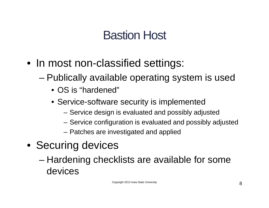### Bastion Host

- In most non-classified settings:
	- Publically available operating system is used
		- OS is "hardened"
		- Service-software security is implemented
			- Service design is evaluated and possibly adjusted
			- Service configuration is evaluated and possibly adjusted
			- Patches are investigated and applied
- Securing devices
	- Hardening checklists are available for some devices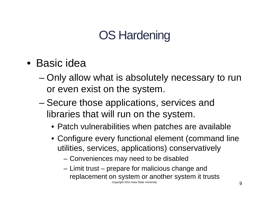## OS Hardening

- Basic idea
	- Only allow what is absolutely necessary to run or even exist on the system.
	- Secure those applications, services and libraries that will run on the system.
		- Patch vulnerabilities when patches are available
		- Configure every functional element (command line utilities, services, applications) conservatively
			- Conveniences may need to be disabled
			- Limit trust prepare for malicious change and replacement on system or another system it trusts Copyright 2013 Iowa State University **9**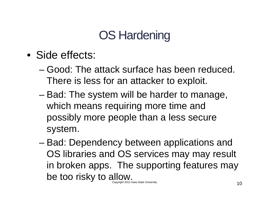## OS Hardening

- Side effects:
	- Good: The attack surface has been reduced. There is less for an attacker to exploit.
	- Bad: The system will be harder to manage, which means requiring more time and possibly more people than a less secure system.
	- Bad: Dependency between applications and OS libraries and OS services may may result in broken apps. The supporting features may be too risky to allow. Copyright 2013 Iowa State University  $10$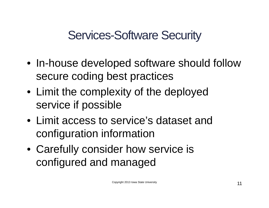Services-Software Security

- In-house developed software should follow secure coding best practices
- Limit the complexity of the deployed service if possible
- Limit access to service's dataset and configuration information
- Carefully consider how service is configured and managed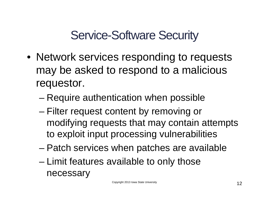Service-Software Security

- Network services responding to requests may be asked to respond to a malicious requestor.
	- Require authentication when possible
	- Filter request content by removing or modifying requests that may contain attempts to exploit input processing vulnerabilities
	- Patch services when patches are available
	- Limit features available to only those necessary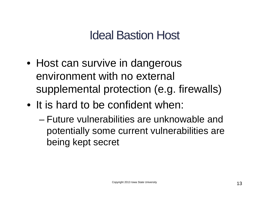### Ideal Bastion Host

- Host can survive in dangerous environment with no external supplemental protection (e.g. firewalls)
- It is hard to be confident when:
	- Future vulnerabilities are unknowable and potentially some current vulnerabilities are being kept secret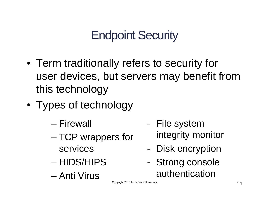## Endpoint Security

- Term traditionally refers to security for user devices, but servers may benefit from this technology
- Types of technology
	- Firewall
	- TCP wrappers for services
	- HIDS/HIPS
	- Anti Virus
- File system integrity monitor
- Disk encryption
- Strong console authentication

Copyright 2013 Iowa State University **14**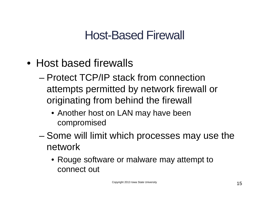### Host-Based Firewall

- Host based firewalls
	- Protect TCP/IP stack from connection attempts permitted by network firewall or originating from behind the firewall
		- Another host on LAN may have been compromised
	- Some will limit which processes may use the network
		- Rouge software or malware may attempt to connect out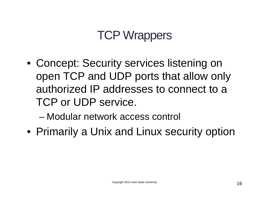### TCP Wrappers

- Concept: Security services listening on open TCP and UDP ports that allow only authorized IP addresses to connect to a TCP or UDP service.
	- Modular network access control
- Primarily a Unix and Linux security option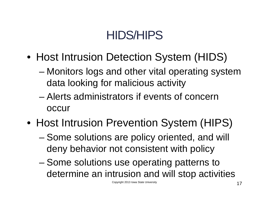## HIDS/HIPS

- Host Intrusion Detection System (HIDS)
	- Monitors logs and other vital operating system data looking for malicious activity
	- Alerts administrators if events of concern occur
- Host Intrusion Prevention System (HIPS)
	- Some solutions are policy oriented, and will deny behavior not consistent with policy
	- Some solutions use operating patterns to determine an intrusion and will stop activities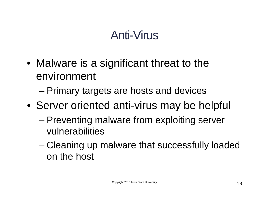### Anti-Virus

- Malware is a significant threat to the environment
	- Primary targets are hosts and devices
- Server oriented anti-virus may be helpful
	- Preventing malware from exploiting server vulnerabilities
	- Cleaning up malware that successfully loaded on the host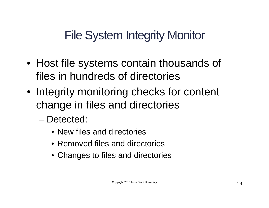File System Integrity Monitor

- Host file systems contain thousands of files in hundreds of directories
- Integrity monitoring checks for content change in files and directories
	- Detected:
		- New files and directories
		- Removed files and directories
		- Changes to files and directories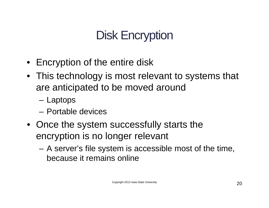# Disk Encryption

- Encryption of the entire disk
- This technology is most relevant to systems that are anticipated to be moved around
	- Laptops
	- Portable devices
- Once the system successfully starts the encryption is no longer relevant
	- A server's file system is accessible most of the time, because it remains online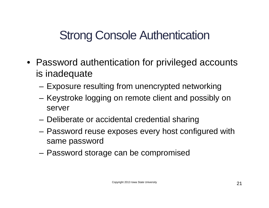### Strong Console Authentication

- Password authentication for privileged accounts is inadequate
	- Exposure resulting from unencrypted networking
	- Keystroke logging on remote client and possibly on server
	- Deliberate or accidental credential sharing
	- Password reuse exposes every host configured with same password
	- Password storage can be compromised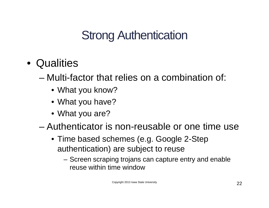## Strong Authentication

- Qualities
	- Multi-factor that relies on a combination of:
		- What you know?
		- What you have?
		- What you are?
	- Authenticator is non-reusable or one time use
		- Time based schemes (e.g. Google 2-Step authentication) are subject to reuse
			- Screen scraping trojans can capture entry and enable reuse within time window